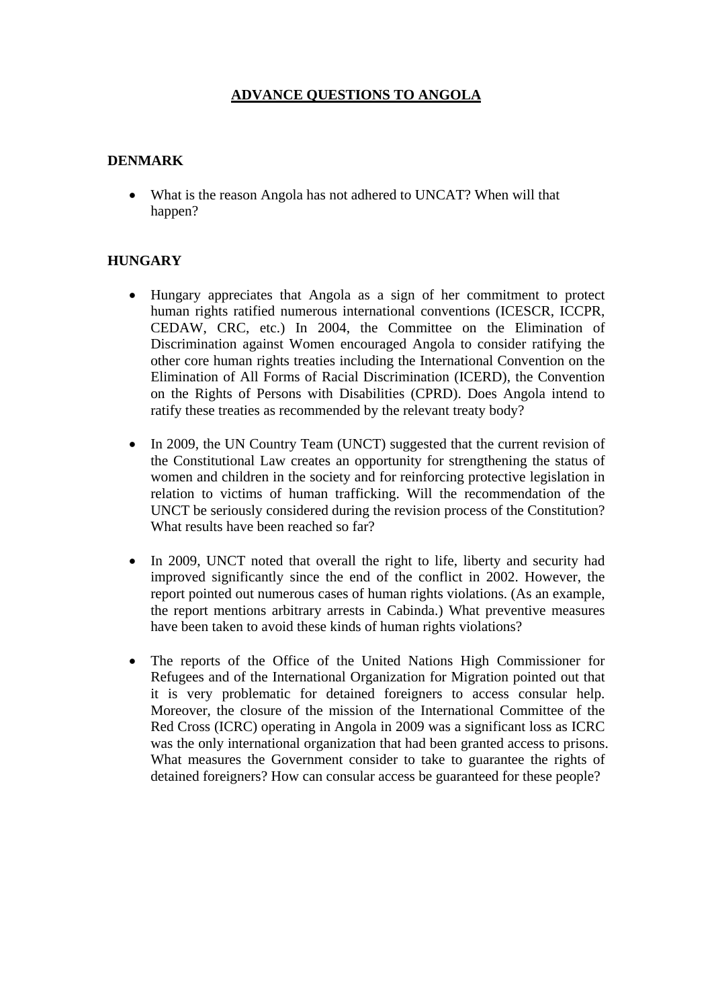# **ADVANCE QUESTIONS TO ANGOLA**

#### **DENMARK**

• What is the reason Angola has not adhered to UNCAT? When will that happen?

#### **HUNGARY**

- Hungary appreciates that Angola as a sign of her commitment to protect human rights ratified numerous international conventions (ICESCR, ICCPR, CEDAW, CRC, etc.) In 2004, the Committee on the Elimination of Discrimination against Women encouraged Angola to consider ratifying the other core human rights treaties including the International Convention on the Elimination of All Forms of Racial Discrimination (ICERD), the Convention on the Rights of Persons with Disabilities (CPRD). Does Angola intend to ratify these treaties as recommended by the relevant treaty body?
- In 2009, the UN Country Team (UNCT) suggested that the current revision of the Constitutional Law creates an opportunity for strengthening the status of women and children in the society and for reinforcing protective legislation in relation to victims of human trafficking. Will the recommendation of the UNCT be seriously considered during the revision process of the Constitution? What results have been reached so far?
- In 2009, UNCT noted that overall the right to life, liberty and security had improved significantly since the end of the conflict in 2002. However, the report pointed out numerous cases of human rights violations. (As an example, the report mentions arbitrary arrests in Cabinda.) What preventive measures have been taken to avoid these kinds of human rights violations?
- The reports of the Office of the United Nations High Commissioner for Refugees and of the International Organization for Migration pointed out that it is very problematic for detained foreigners to access consular help. Moreover, the closure of the mission of the International Committee of the Red Cross (ICRC) operating in Angola in 2009 was a significant loss as ICRC was the only international organization that had been granted access to prisons. What measures the Government consider to take to guarantee the rights of detained foreigners? How can consular access be guaranteed for these people?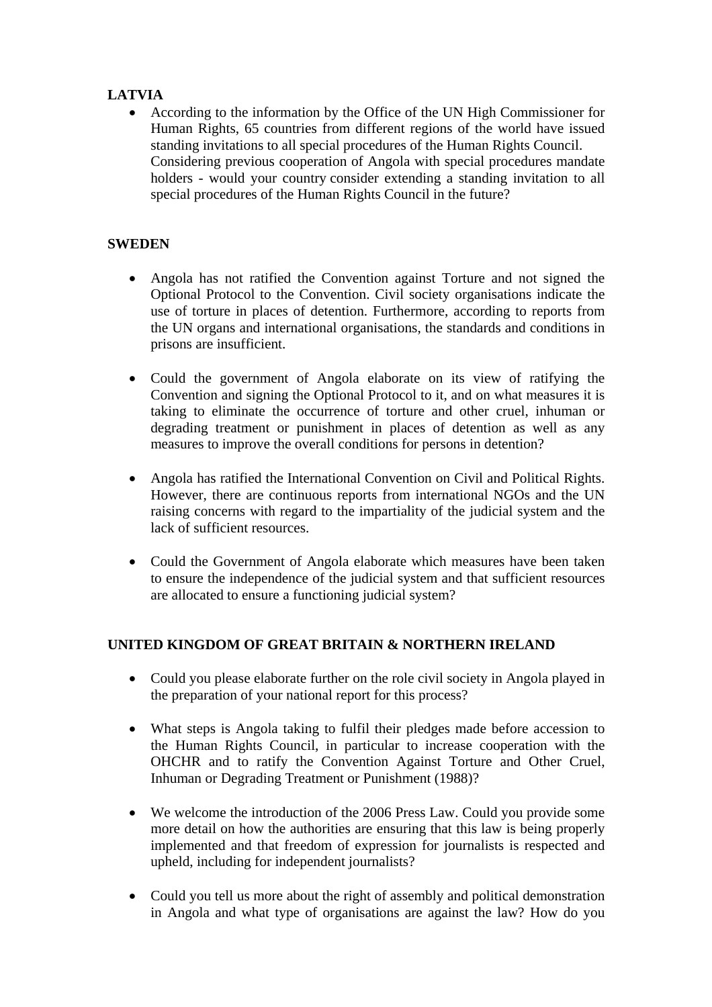# **LATVIA**

• According to the information by the Office of the UN High Commissioner for Human Rights, 65 countries from different regions of the world have issued standing invitations to all special procedures of the Human Rights Council. Considering previous cooperation of Angola with special procedures mandate holders - would your country consider extending a standing invitation to all special procedures of the Human Rights Council in the future?

# **SWEDEN**

- Angola has not ratified the Convention against Torture and not signed the Optional Protocol to the Convention. Civil society organisations indicate the use of torture in places of detention. Furthermore, according to reports from the UN organs and international organisations, the standards and conditions in prisons are insufficient.
- Could the government of Angola elaborate on its view of ratifying the Convention and signing the Optional Protocol to it, and on what measures it is taking to eliminate the occurrence of torture and other cruel, inhuman or degrading treatment or punishment in places of detention as well as any measures to improve the overall conditions for persons in detention?
- Angola has ratified the International Convention on Civil and Political Rights. However, there are continuous reports from international NGOs and the UN raising concerns with regard to the impartiality of the judicial system and the lack of sufficient resources.
- Could the Government of Angola elaborate which measures have been taken to ensure the independence of the judicial system and that sufficient resources are allocated to ensure a functioning judicial system?

# **UNITED KINGDOM OF GREAT BRITAIN & NORTHERN IRELAND**

- Could you please elaborate further on the role civil society in Angola played in the preparation of your national report for this process?
- What steps is Angola taking to fulfil their pledges made before accession to the Human Rights Council, in particular to increase cooperation with the OHCHR and to ratify the Convention Against Torture and Other Cruel, Inhuman or Degrading Treatment or Punishment (1988)?
- We welcome the introduction of the 2006 Press Law. Could you provide some more detail on how the authorities are ensuring that this law is being properly implemented and that freedom of expression for journalists is respected and upheld, including for independent journalists?
- Could you tell us more about the right of assembly and political demonstration in Angola and what type of organisations are against the law? How do you